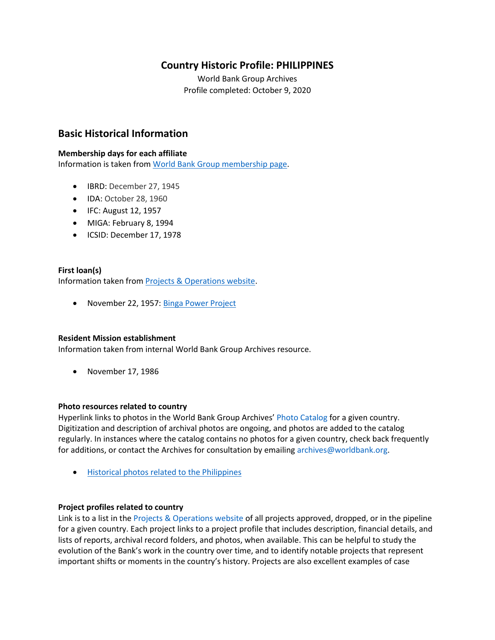## **Country Historic Profile: PHILIPPINES**

World Bank Group Archives Profile completed: October 9, 2020

## **Basic Historical Information**

#### **Membership days for each affiliate**

Information is taken from [World Bank Group membership page.](https://www.worldbank.org/en/about/leadership/members#1)

- IBRD: December 27, 1945
- IDA: October 28, 1960
- IFC: August 12, 1957
- MIGA: February 8, 1994
- ICSID: December 17, 1978

#### **First loan(s)** Information taken from [Projects & Operations website.](https://projects.worldbank.org/)

• November 22, 1957: [Binga Power Project](https://projects.worldbank.org/en/projects-operations/project-detail/P004407)

#### **Resident Mission establishment**

Information taken from internal World Bank Group Archives resource.

• November 17, 1986

#### **Photo resources related to country**

Hyperlink links to photos in the World Bank Group Archives' [Photo Catalog](https://archivesphotos.worldbank.org/en/about/archives/photo-gallery) for a given country. Digitization and description of archival photos are ongoing, and photos are added to the catalog regularly. In instances where the catalog contains no photos for a given country, check back frequently for additions, or contact the Archives for consultation by emailing [archives@worldbank.org.](mailto:archives@worldbank.org)

• [Historical photos related to the Philippines](https://archivesphotos.worldbank.org/en/about/archives/photo-gallery/photo-gallery-landing?qterm=philippines&x=0&y=0)

#### **Project profiles related to country**

Link is to a list in the [Projects & Operations website](https://projects.worldbank.org/) of all projects approved, dropped, or in the pipeline for a given country. Each project links to a project profile that includes description, financial details, and lists of reports, archival record folders, and photos, when available. This can be helpful to study the evolution of the Bank's work in the country over time, and to identify notable projects that represent important shifts or moments in the country's history. Projects are also excellent examples of case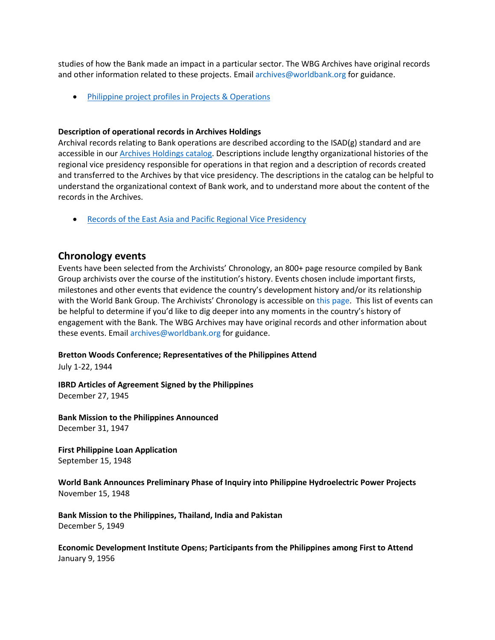studies of how the Bank made an impact in a particular sector. The WBG Archives have original records and other information related to these projects. Email [archives@worldbank.org](mailto:archives@worldbank.org) for guidance.

• [Philippine project profiles in Projects & Operations](https://projects.worldbank.org/en/projects-operations/projects-summary?countrycode_exact=PH)

#### **Description of operational records in Archives Holdings**

Archival records relating to Bank operations are described according to the ISAD(g) standard and are accessible in our [Archives Holdings catalog.](https://archivesholdings.worldbank.org/) Descriptions include lengthy organizational histories of the regional vice presidency responsible for operations in that region and a description of records created and transferred to the Archives by that vice presidency. The descriptions in the catalog can be helpful to understand the organizational context of Bank work, and to understand more about the content of the records in the Archives.

• [Records of the East Asia and Pacific Regional Vice Presidency](https://archivesholdings.worldbank.org/records-of-east-asia-and-pacific-regional-office-vice-presidency)

#### **Chronology events**

Events have been selected from the Archivists' Chronology, an 800+ page resource compiled by Bank Group archivists over the course of the institution's history. Events chosen include important firsts, milestones and other events that evidence the country's development history and/or its relationship with the World Bank Group. The Archivists' Chronology is accessible on [this page.](https://www.worldbank.org/en/about/archives/history/timeline) This list of events can be helpful to determine if you'd like to dig deeper into any moments in the country's history of engagement with the Bank. The WBG Archives may have original records and other information about these events. Email [archives@worldbank.org](mailto:archives@worldbank.org) for guidance.

#### **Bretton Woods Conference; Representatives of the Philippines Attend**

July 1-22, 1944

**IBRD Articles of Agreement Signed by the Philippines** December 27, 1945

**Bank Mission to the Philippines Announced** December 31, 1947

**First Philippine Loan Application** September 15, 1948

**World Bank Announces Preliminary Phase of Inquiry into Philippine Hydroelectric Power Projects** November 15, 1948

**Bank Mission to the Philippines, Thailand, India and Pakistan** December 5, 1949

**Economic Development Institute Opens; Participants from the Philippines among First to Attend** January 9, 1956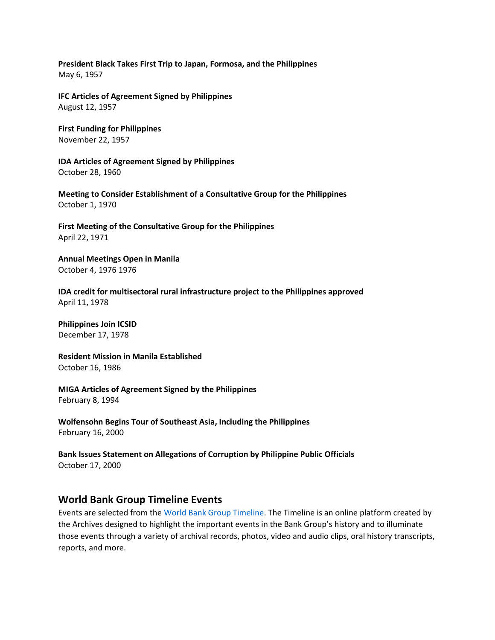#### **President Black Takes First Trip to Japan, Formosa, and the Philippines** May 6, 1957

**IFC Articles of Agreement Signed by Philippines** August 12, 1957

**First Funding for Philippines** November 22, 1957

**IDA Articles of Agreement Signed by Philippines** October 28, 1960

**Meeting to Consider Establishment of a Consultative Group for the Philippines** October 1, 1970

**First Meeting of the Consultative Group for the Philippines** April 22, 1971

**Annual Meetings Open in Manila** October 4, 1976 1976

**IDA credit for multisectoral rural infrastructure project to the Philippines approved**  April 11, 1978

**Philippines Join ICSID** December 17, 1978

**Resident Mission in Manila Established** October 16, 1986

**MIGA Articles of Agreement Signed by the Philippines** February 8, 1994

**Wolfensohn Begins Tour of Southeast Asia, Including the Philippines** February 16, 2000

**Bank Issues Statement on Allegations of Corruption by Philippine Public Officials** October 17, 2000

### **World Bank Group Timeline Events**

Events are selected from th[e World Bank Group Timeline.](https://timeline.worldbank.org/#event-bretton-woods-conference-begins) The Timeline is an online platform created by the Archives designed to highlight the important events in the Bank Group's history and to illuminate those events through a variety of archival records, photos, video and audio clips, oral history transcripts, reports, and more.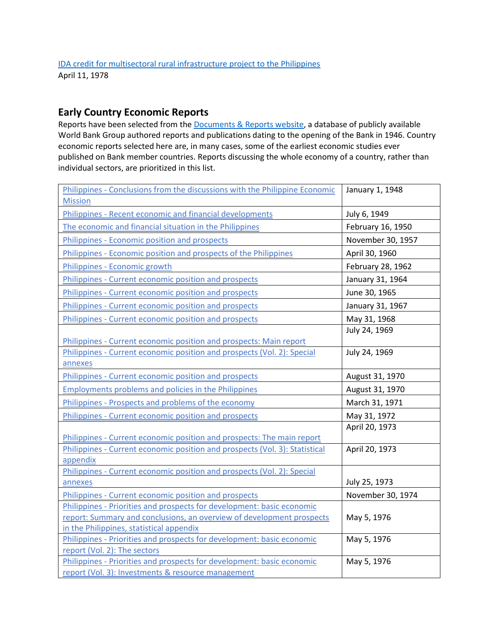# **Early Country Economic Reports**

Reports have been selected from the [Documents & Reports website,](https://documents.worldbank.org/) a database of publicly available World Bank Group authored reports and publications dating to the opening of the Bank in 1946. Country economic reports selected here are, in many cases, some of the earliest economic studies ever published on Bank member countries. Reports discussing the whole economy of a country, rather than individual sectors, are prioritized in this list.

| Philippines - Conclusions from the discussions with the Philippine Economic<br><b>Mission</b>                     | January 1, 1948   |
|-------------------------------------------------------------------------------------------------------------------|-------------------|
| Philippines - Recent economic and financial developments                                                          | July 6, 1949      |
| The economic and financial situation in the Philippines                                                           | February 16, 1950 |
| Philippines - Economic position and prospects                                                                     | November 30, 1957 |
| Philippines - Economic position and prospects of the Philippines                                                  | April 30, 1960    |
| Philippines - Economic growth                                                                                     | February 28, 1962 |
| Philippines - Current economic position and prospects                                                             | January 31, 1964  |
| Philippines - Current economic position and prospects                                                             | June 30, 1965     |
| Philippines - Current economic position and prospects                                                             | January 31, 1967  |
| Philippines - Current economic position and prospects                                                             | May 31, 1968      |
|                                                                                                                   | July 24, 1969     |
| Philippines - Current economic position and prospects: Main report                                                |                   |
| Philippines - Current economic position and prospects (Vol. 2): Special<br>annexes                                | July 24, 1969     |
| Philippines - Current economic position and prospects                                                             | August 31, 1970   |
| <b>Employments problems and policies in the Philippines</b>                                                       | August 31, 1970   |
| Philippines - Prospects and problems of the economy                                                               | March 31, 1971    |
| Philippines - Current economic position and prospects                                                             | May 31, 1972      |
|                                                                                                                   | April 20, 1973    |
| Philippines - Current economic position and prospects: The main report                                            |                   |
| Philippines - Current economic position and prospects (Vol. 3): Statistical                                       | April 20, 1973    |
| appendix                                                                                                          |                   |
| Philippines - Current economic position and prospects (Vol. 2): Special                                           |                   |
| annexes                                                                                                           | July 25, 1973     |
| Philippines - Current economic position and prospects                                                             | November 30, 1974 |
| Philippines - Priorities and prospects for development: basic economic                                            |                   |
| report: Summary and conclusions, an overview of development prospects<br>in the Philippines, statistical appendix | May 5, 1976       |
| Philippines - Priorities and prospects for development: basic economic                                            | May 5, 1976       |
| report (Vol. 2): The sectors                                                                                      |                   |
| Philippines - Priorities and prospects for development: basic economic                                            | May 5, 1976       |
| report (Vol. 3): Investments & resource management                                                                |                   |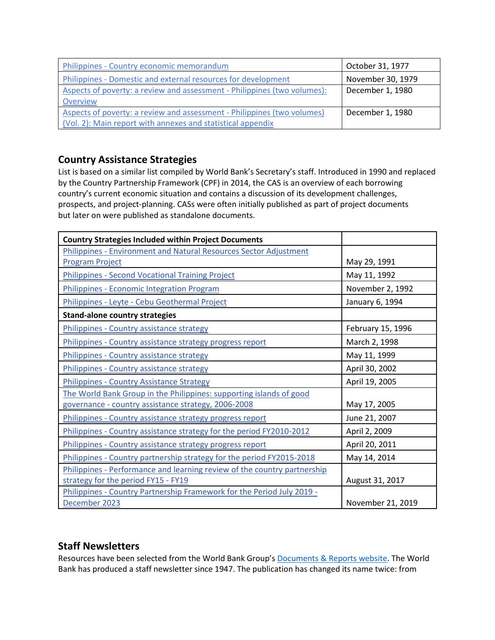| Philippines - Country economic memorandum                                | October 31, 1977  |
|--------------------------------------------------------------------------|-------------------|
| Philippines - Domestic and external resources for development            | November 30, 1979 |
| Aspects of poverty: a review and assessment - Philippines (two volumes): | December 1, 1980  |
| Overview                                                                 |                   |
| Aspects of poverty: a review and assessment - Philippines (two volumes)  | December 1, 1980  |
| (Vol. 2): Main report with annexes and statistical appendix              |                   |

# **Country Assistance Strategies**

List is based on a similar list compiled by World Bank's Secretary's staff. Introduced in 1990 and replaced by the Country Partnership Framework (CPF) in 2014, the CAS is an overview of each borrowing country's current economic situation and contains a discussion of its development challenges, prospects, and project-planning. CASs were often initially published as part of project documents but later on were published as standalone documents.

| <b>Country Strategies Included within Project Documents</b>              |                   |
|--------------------------------------------------------------------------|-------------------|
| Philippines - Environment and Natural Resources Sector Adjustment        |                   |
| <b>Program Project</b>                                                   | May 29, 1991      |
| <b>Philippines - Second Vocational Training Project</b>                  | May 11, 1992      |
| Philippines - Economic Integration Program                               | November 2, 1992  |
| Philippines - Leyte - Cebu Geothermal Project                            | January 6, 1994   |
| <b>Stand-alone country strategies</b>                                    |                   |
| Philippines - Country assistance strategy                                | February 15, 1996 |
| Philippines - Country assistance strategy progress report                | March 2, 1998     |
| Philippines - Country assistance strategy                                | May 11, 1999      |
| Philippines - Country assistance strategy                                | April 30, 2002    |
| Philippines - Country Assistance Strategy                                | April 19, 2005    |
| The World Bank Group in the Philippines: supporting islands of good      |                   |
| governance - country assistance strategy, 2006-2008                      | May 17, 2005      |
| Philippines - Country assistance strategy progress report                | June 21, 2007     |
| Philippines - Country assistance strategy for the period FY2010-2012     | April 2, 2009     |
| Philippines - Country assistance strategy progress report                | April 20, 2011    |
| Philippines - Country partnership strategy for the period FY2015-2018    | May 14, 2014      |
| Philippines - Performance and learning review of the country partnership |                   |
| strategy for the period FY15 - FY19                                      | August 31, 2017   |
| Philippines - Country Partnership Framework for the Period July 2019 -   |                   |
| December 2023                                                            | November 21, 2019 |

# **Staff Newsletters**

Resources have been selected from the World Bank Group's [Documents & Reports website.](https://documents.worldbank.org/) The World Bank has produced a staff newsletter since 1947. The publication has changed its name twice: from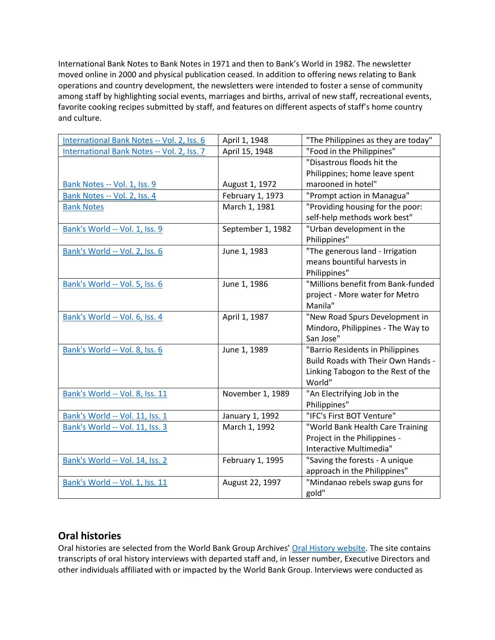International Bank Notes to Bank Notes in 1971 and then to Bank's World in 1982. The newsletter moved online in 2000 and physical publication ceased. In addition to offering news relating to Bank operations and country development, the newsletters were intended to foster a sense of community among staff by highlighting social events, marriages and births, arrival of new staff, recreational events, favorite cooking recipes submitted by staff, and features on different aspects of staff's home country and culture.

| International Bank Notes -- Vol. 2, Iss. 6 | April 1, 1948     | "The Philippines as they are today" |
|--------------------------------------------|-------------------|-------------------------------------|
| International Bank Notes -- Vol. 2, Iss. 7 | April 15, 1948    | "Food in the Philippines"           |
|                                            |                   | "Disastrous floods hit the          |
|                                            |                   | Philippines; home leave spent       |
| Bank Notes -- Vol. 1, Iss. 9               | August 1, 1972    | marooned in hotel"                  |
| Bank Notes -- Vol. 2, Iss. 4               | February 1, 1973  | "Prompt action in Managua"          |
| <b>Bank Notes</b>                          | March 1, 1981     | "Providing housing for the poor:    |
|                                            |                   | self-help methods work best"        |
| Bank's World -- Vol. 1, Iss. 9             | September 1, 1982 | "Urban development in the           |
|                                            |                   | Philippines"                        |
| Bank's World -- Vol. 2, Iss. 6             | June 1, 1983      | "The generous land - Irrigation     |
|                                            |                   | means bountiful harvests in         |
|                                            |                   | Philippines"                        |
| Bank's World -- Vol. 5, Iss. 6             | June 1, 1986      | "Millions benefit from Bank-funded  |
|                                            |                   | project - More water for Metro      |
|                                            |                   | Manila"                             |
| Bank's World -- Vol. 6, Iss. 4             | April 1, 1987     | "New Road Spurs Development in      |
|                                            |                   | Mindoro, Philippines - The Way to   |
|                                            |                   | San Jose"                           |
| Bank's World -- Vol. 8, Iss. 6             | June 1, 1989      | "Barrio Residents in Philippines    |
|                                            |                   | Build Roads with Their Own Hands -  |
|                                            |                   | Linking Tabogon to the Rest of the  |
|                                            |                   | World"                              |
| Bank's World -- Vol. 8, Iss. 11            | November 1, 1989  | "An Electrifying Job in the         |
|                                            |                   | Philippines"                        |
| Bank's World -- Vol. 11, Iss. 1            | January 1, 1992   | "IFC's First BOT Venture"           |
| Bank's World -- Vol. 11, Iss. 3            | March 1, 1992     | "World Bank Health Care Training    |
|                                            |                   | Project in the Philippines -        |
|                                            |                   | Interactive Multimedia"             |
| Bank's World -- Vol. 14, Iss. 2            | February 1, 1995  | "Saving the forests - A unique      |
|                                            |                   | approach in the Philippines"        |
| Bank's World -- Vol. 1, Iss. 11            | August 22, 1997   | "Mindanao rebels swap guns for      |
|                                            |                   | gold"                               |

## **Oral histories**

Oral histories are selected from the World Bank Group Archives' [Oral History website.](https://oralhistory.worldbank.org/) The site contains transcripts of oral history interviews with departed staff and, in lesser number, Executive Directors and other individuals affiliated with or impacted by the World Bank Group. Interviews were conducted as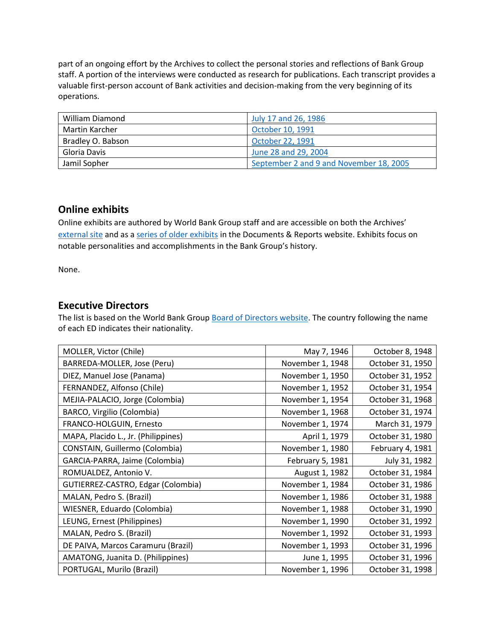part of an ongoing effort by the Archives to collect the personal stories and reflections of Bank Group staff. A portion of the interviews were conducted as research for publications. Each transcript provides a valuable first-person account of Bank activities and decision-making from the very beginning of its operations.

| <b>William Diamond</b> | July 17 and 26, 1986                    |
|------------------------|-----------------------------------------|
| Martin Karcher         | October 10, 1991                        |
| Bradley O. Babson      | October 22, 1991                        |
| Gloria Davis           | June 28 and 29, 2004                    |
| Jamil Sopher           | September 2 and 9 and November 18, 2005 |

## **Online exhibits**

Online exhibits are authored by World Bank Group staff and are accessible on both the Archives' [external site](https://www.worldbank.org/en/about/archives/history/exhibits) and as a [series of older exhibits](https://documents.worldbank.org/en/publication/documents-reports/documentlist?colti=World%20Bank%20Group%20Archives%20exhibit%20series) in the Documents & Reports website. Exhibits focus on notable personalities and accomplishments in the Bank Group's history.

None.

## **Executive Directors**

The list is based on the World Bank Group [Board of Directors website.](https://worldbankgroup.sharepoint.com/sites/wbsites/ExecutiveBoard/Pages/pc/About-the-Boards-05222019-155532/List-of-Executi-05222019-155839.aspx) The country following the name of each ED indicates their nationality.

| MOLLER, Victor (Chile)              | May 7, 1946      | October 8, 1948  |
|-------------------------------------|------------------|------------------|
| BARREDA-MOLLER, Jose (Peru)         | November 1, 1948 | October 31, 1950 |
| DIEZ, Manuel Jose (Panama)          | November 1, 1950 | October 31, 1952 |
| FERNANDEZ, Alfonso (Chile)          | November 1, 1952 | October 31, 1954 |
| MEJIA-PALACIO, Jorge (Colombia)     | November 1, 1954 | October 31, 1968 |
| BARCO, Virgilio (Colombia)          | November 1, 1968 | October 31, 1974 |
| FRANCO-HOLGUIN, Ernesto             | November 1, 1974 | March 31, 1979   |
| MAPA, Placido L., Jr. (Philippines) | April 1, 1979    | October 31, 1980 |
| CONSTAIN, Guillermo (Colombia)      | November 1, 1980 | February 4, 1981 |
| GARCIA-PARRA, Jaime (Colombia)      | February 5, 1981 | July 31, 1982    |
| ROMUALDEZ, Antonio V.               | August 1, 1982   | October 31, 1984 |
| GUTIERREZ-CASTRO, Edgar (Colombia)  | November 1, 1984 | October 31, 1986 |
| MALAN, Pedro S. (Brazil)            | November 1, 1986 | October 31, 1988 |
| WIESNER, Eduardo (Colombia)         | November 1, 1988 | October 31, 1990 |
| LEUNG, Ernest (Philippines)         | November 1, 1990 | October 31, 1992 |
| MALAN, Pedro S. (Brazil)            | November 1, 1992 | October 31, 1993 |
| DE PAIVA, Marcos Caramuru (Brazil)  | November 1, 1993 | October 31, 1996 |
| AMATONG, Juanita D. (Philippines)   | June 1, 1995     | October 31, 1996 |
| PORTUGAL, Murilo (Brazil)           | November 1, 1996 | October 31, 1998 |